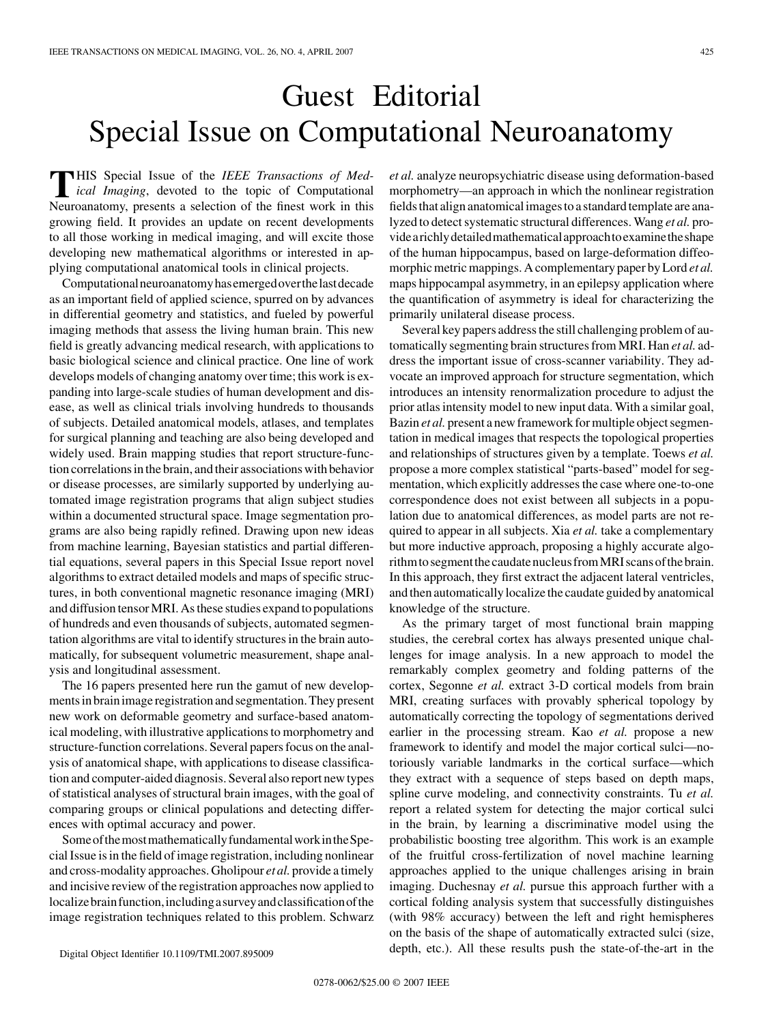## Guest Editorial Special Issue on Computational Neuroanatomy

**THIS Special Issue of the** *IEEE Transactions of Med-*<br>*ical Imaging*, devoted to the topic of Computational<br>Nauroanotomy presents a selection of the finest work in this Neuroanatomy, presents a selection of the finest work in this growing field. It provides an update on recent developments to all those working in medical imaging, and will excite those developing new mathematical algorithms or interested in applying computational anatomical tools in clinical projects.

Computationalneuroanatomyhasemergedoverthelastdecade as an important field of applied science, spurred on by advances in differential geometry and statistics, and fueled by powerful imaging methods that assess the living human brain. This new field is greatly advancing medical research, with applications to basic biological science and clinical practice. One line of work develops models of changing anatomy over time; this work is expanding into large-scale studies of human development and disease, as well as clinical trials involving hundreds to thousands of subjects. Detailed anatomical models, atlases, and templates for surgical planning and teaching are also being developed and widely used. Brain mapping studies that report structure-function correlations in the brain, and their associations with behavior or disease processes, are similarly supported by underlying automated image registration programs that align subject studies within a documented structural space. Image segmentation programs are also being rapidly refined. Drawing upon new ideas from machine learning, Bayesian statistics and partial differential equations, several papers in this Special Issue report novel algorithms to extract detailed models and maps of specific structures, in both conventional magnetic resonance imaging (MRI) and diffusion tensor MRI. As these studies expand to populations of hundreds and even thousands of subjects, automated segmentation algorithms are vital to identify structures in the brain automatically, for subsequent volumetric measurement, shape analysis and longitudinal assessment.

The 16 papers presented here run the gamut of new developments in brain image registration and segmentation. They present new work on deformable geometry and surface-based anatomical modeling, with illustrative applications to morphometry and structure-function correlations. Several papers focus on the analysis of anatomical shape, with applications to disease classification and computer-aided diagnosis. Several also report new types of statistical analyses of structural brain images, with the goal of comparing groups or clinical populations and detecting differences with optimal accuracy and power.

Some of the most mathematically fundamental work in the Special Issue is in the field of image registration, including nonlinear and cross-modality approaches. Gholipour *et al.* provide a timely and incisive review of the registration approaches now applied to localizebrainfunction,includingasurveyandclassificationofthe image registration techniques related to this problem. Schwarz *et al.* analyze neuropsychiatric disease using deformation-based morphometry—an approach in which the nonlinear registration fields that align anatomical images to a standard template are analyzed to detect systematic structural differences. Wang *et al.* providearichlydetailedmathematicalapproachtoexaminetheshape of the human hippocampus, based on large-deformation diffeomorphic metric mappings. A complementary paper by Lord *et al.* maps hippocampal asymmetry, in an epilepsy application where the quantification of asymmetry is ideal for characterizing the primarily unilateral disease process.

Several key papers address the still challenging problem of automatically segmenting brain structures from MRI. Han *et al.* address the important issue of cross-scanner variability. They advocate an improved approach for structure segmentation, which introduces an intensity renormalization procedure to adjust the prior atlas intensity model to new input data. With a similar goal, Bazin *et al.* present a new framework for multiple object segmentation in medical images that respects the topological properties and relationships of structures given by a template. Toews *et al.* propose a more complex statistical "parts-based" model for segmentation, which explicitly addresses the case where one-to-one correspondence does not exist between all subjects in a population due to anatomical differences, as model parts are not required to appear in all subjects. Xia *et al.* take a complementary but more inductive approach, proposing a highly accurate algorithmtosegmentthecaudatenucleusfromMRIscansofthebrain. In this approach, they first extract the adjacent lateral ventricles, and then automatically localize the caudate guided by anatomical knowledge of the structure.

As the primary target of most functional brain mapping studies, the cerebral cortex has always presented unique challenges for image analysis. In a new approach to model the remarkably complex geometry and folding patterns of the cortex, Segonne *et al.* extract 3-D cortical models from brain MRI, creating surfaces with provably spherical topology by automatically correcting the topology of segmentations derived earlier in the processing stream. Kao *et al.* propose a new framework to identify and model the major cortical sulci—notoriously variable landmarks in the cortical surface—which they extract with a sequence of steps based on depth maps, spline curve modeling, and connectivity constraints. Tu *et al.* report a related system for detecting the major cortical sulci in the brain, by learning a discriminative model using the probabilistic boosting tree algorithm. This work is an example of the fruitful cross-fertilization of novel machine learning approaches applied to the unique challenges arising in brain imaging. Duchesnay *et al.* pursue this approach further with a cortical folding analysis system that successfully distinguishes (with 98% accuracy) between the left and right hemispheres on the basis of the shape of automatically extracted sulci (size, depth, etc.). All these results push the state-of-the-art in the